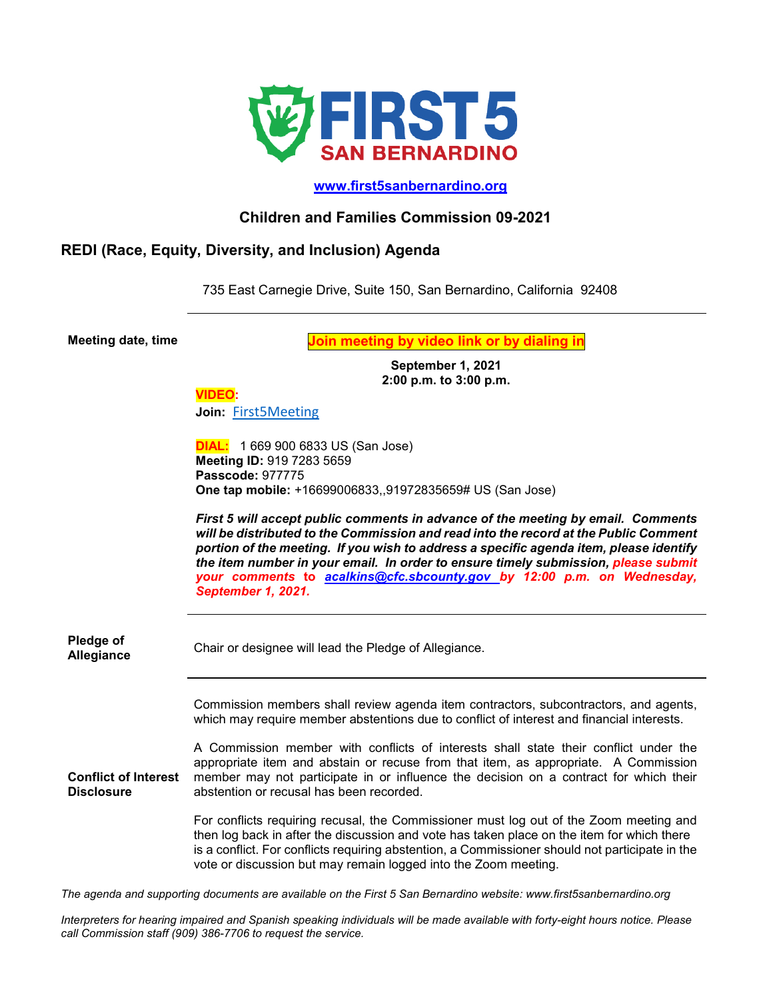

## **[www.first5sanbernardino.org](http://www.first5sanbernardino.org/)**

## **Children and Families Commission 09-2021**

## **REDI (Race, Equity, Diversity, and Inclusion) Agenda**

735 East Carnegie Drive, Suite 150, San Bernardino, California 92408

**Meeting date, time Join meeting by video link or by dialing in**

**September 1, 2021 2:00 p.m. to 3:00 p.m.**

## **VIDEO:**

**Join:** [First5Meeting](https://sbcounty.zoom.us/j/91972835659?pwd=TW8zbXp2YStpeEpzeCsyd2JYdjNEQT09)

**DIAL:** 1 669 900 6833 US (San Jose) **Meeting ID:** 919 7283 5659 **Passcode:** 977775 **One tap mobile:** +16699006833,,91972835659# US (San Jose)

*First 5 will accept public comments in advance of the meeting by email. Comments will be distributed to the Commission and read into the record at the Public Comment portion of the meeting. If you wish to address a specific agenda item, please identify the item number in your email. In order to ensure timely submission, please submit your comments* **to** *[acalkins@cfc.sbcounty.gov](mailto:acalkins@cfc.sbcounty.gov) by 12:00 p.m. on Wednesday, September 1, 2021.*

| Pledge of<br><b>Allegiance</b>            | Chair or designee will lead the Pledge of Allegiance.                                                                                                                                                                                                                                                                                                      |
|-------------------------------------------|------------------------------------------------------------------------------------------------------------------------------------------------------------------------------------------------------------------------------------------------------------------------------------------------------------------------------------------------------------|
|                                           | Commission members shall review agenda item contractors, subcontractors, and agents,<br>which may require member abstentions due to conflict of interest and financial interests.                                                                                                                                                                          |
| <b>Conflict of Interest</b><br>Disclosure | A Commission member with conflicts of interests shall state their conflict under the<br>appropriate item and abstain or recuse from that item, as appropriate. A Commission<br>member may not participate in or influence the decision on a contract for which their<br>abstention or recusal has been recorded.                                           |
|                                           | For conflicts requiring recusal, the Commissioner must log out of the Zoom meeting and<br>then log back in after the discussion and vote has taken place on the item for which there<br>is a conflict. For conflicts requiring abstention, a Commissioner should not participate in the<br>vote or discussion but may remain logged into the Zoom meeting. |

*The agenda and supporting documents are available on the First 5 San Bernardino website: www.first5sanbernardino.org*

*Interpreters for hearing impaired and Spanish speaking individuals will be made available with forty-eight hours notice. Please call Commission staff (909) 386-7706 to request the service.*